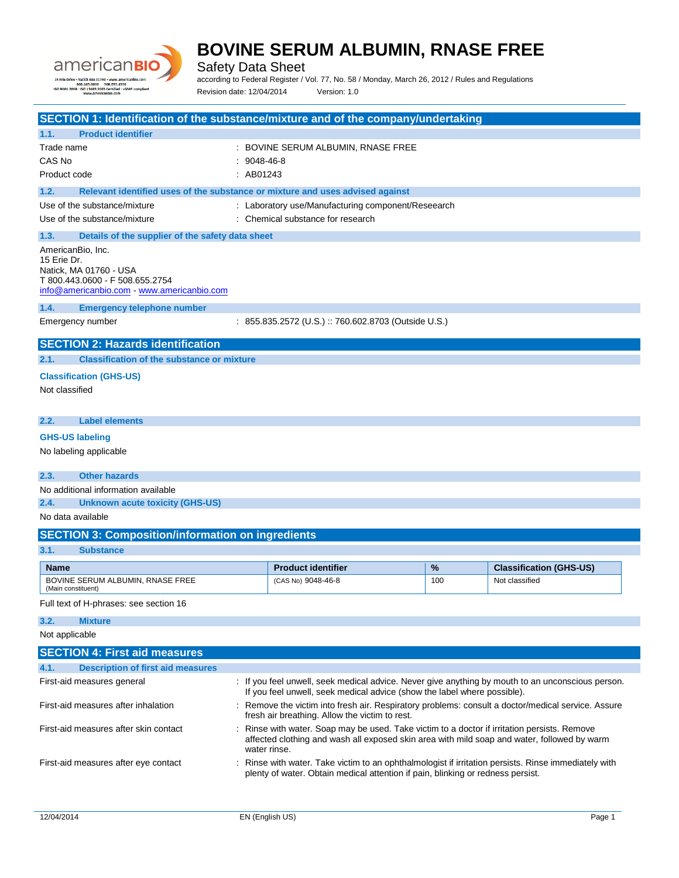



Safety Data Sheet

according to Federal Register / Vol. 77, No. 58 / Monday, March 26, 2012 / Rules and Regulations Revision date: 12/04/2014 Version: 1.0

| SECTION 1: Identification of the substance/mixture and of the company/undertaking     |                                |                                                                                                                                                                                         |     |                                |
|---------------------------------------------------------------------------------------|--------------------------------|-----------------------------------------------------------------------------------------------------------------------------------------------------------------------------------------|-----|--------------------------------|
| <b>Product identifier</b><br>1.1.                                                     |                                |                                                                                                                                                                                         |     |                                |
| Trade name<br>CAS No                                                                  |                                | : BOVINE SERUM ALBUMIN, RNASE FREE                                                                                                                                                      |     |                                |
| Product code                                                                          | $: 9048 - 46 - 8$<br>: AB01243 |                                                                                                                                                                                         |     |                                |
|                                                                                       |                                |                                                                                                                                                                                         |     |                                |
| 1.2.<br>Relevant identified uses of the substance or mixture and uses advised against |                                |                                                                                                                                                                                         |     |                                |
| Use of the substance/mixture                                                          |                                | : Laboratory use/Manufacturing component/Reseearch                                                                                                                                      |     |                                |
| Use of the substance/mixture                                                          |                                | : Chemical substance for research                                                                                                                                                       |     |                                |
| 1.3.<br>Details of the supplier of the safety data sheet                              |                                |                                                                                                                                                                                         |     |                                |
| AmericanBio, Inc.<br>15 Erie Dr.                                                      |                                |                                                                                                                                                                                         |     |                                |
| Natick, MA 01760 - USA                                                                |                                |                                                                                                                                                                                         |     |                                |
| T 800.443.0600 - F 508.655.2754                                                       |                                |                                                                                                                                                                                         |     |                                |
| info@americanbio.com www.americanbio.com                                              |                                |                                                                                                                                                                                         |     |                                |
| 1.4.<br><b>Emergency telephone number</b>                                             |                                |                                                                                                                                                                                         |     |                                |
| Emergency number                                                                      |                                | : 855.835.2572 (U.S.) :: 760.602.8703 (Outside U.S.)                                                                                                                                    |     |                                |
| <b>SECTION 2: Hazards identification</b>                                              |                                |                                                                                                                                                                                         |     |                                |
| <b>Classification of the substance or mixture</b><br>2.1.                             |                                |                                                                                                                                                                                         |     |                                |
| <b>Classification (GHS-US)</b>                                                        |                                |                                                                                                                                                                                         |     |                                |
| Not classified                                                                        |                                |                                                                                                                                                                                         |     |                                |
|                                                                                       |                                |                                                                                                                                                                                         |     |                                |
| <b>Label elements</b><br>2.2.                                                         |                                |                                                                                                                                                                                         |     |                                |
| <b>GHS-US labeling</b>                                                                |                                |                                                                                                                                                                                         |     |                                |
| No labeling applicable                                                                |                                |                                                                                                                                                                                         |     |                                |
|                                                                                       |                                |                                                                                                                                                                                         |     |                                |
| <b>Other hazards</b><br>2.3.                                                          |                                |                                                                                                                                                                                         |     |                                |
| No additional information available                                                   |                                |                                                                                                                                                                                         |     |                                |
| 2.4.<br><b>Unknown acute toxicity (GHS-US)</b>                                        |                                |                                                                                                                                                                                         |     |                                |
| No data available                                                                     |                                |                                                                                                                                                                                         |     |                                |
| <b>SECTION 3: Composition/information on ingredients</b>                              |                                |                                                                                                                                                                                         |     |                                |
| 3.1.<br><b>Substance</b>                                                              |                                |                                                                                                                                                                                         |     |                                |
| <b>Name</b>                                                                           |                                | <b>Product identifier</b>                                                                                                                                                               | %   | <b>Classification (GHS-US)</b> |
| BOVINE SERUM ALBUMIN, RNASE FREE<br>(Main constituent)                                |                                | (CAS No) 9048-46-8                                                                                                                                                                      | 100 | Not classified                 |
| Full text of H-phrases: see section 16                                                |                                |                                                                                                                                                                                         |     |                                |
| 3.2.<br><b>Mixture</b>                                                                |                                |                                                                                                                                                                                         |     |                                |
| Not applicable                                                                        |                                |                                                                                                                                                                                         |     |                                |
| <b>SECTION 4: First aid measures</b>                                                  |                                |                                                                                                                                                                                         |     |                                |
| <b>Description of first aid measures</b><br>4.1.                                      |                                |                                                                                                                                                                                         |     |                                |
| First-aid measures general                                                            |                                | : If you feel unwell, seek medical advice. Never give anything by mouth to an unconscious person.                                                                                       |     |                                |
|                                                                                       |                                | If you feel unwell, seek medical advice (show the label where possible).                                                                                                                |     |                                |
| First-aid measures after inhalation                                                   |                                | : Remove the victim into fresh air. Respiratory problems: consult a doctor/medical service. Assure<br>fresh air breathing. Allow the victim to rest.                                    |     |                                |
| First-aid measures after skin contact                                                 |                                | : Rinse with water. Soap may be used. Take victim to a doctor if irritation persists. Remove                                                                                            |     |                                |
|                                                                                       |                                | affected clothing and wash all exposed skin area with mild soap and water, followed by warm                                                                                             |     |                                |
|                                                                                       |                                | water rinse.                                                                                                                                                                            |     |                                |
| First-aid measures after eye contact                                                  |                                | : Rinse with water. Take victim to an ophthalmologist if irritation persists. Rinse immediately with<br>plenty of water. Obtain medical attention if pain, blinking or redness persist. |     |                                |
|                                                                                       |                                |                                                                                                                                                                                         |     |                                |
|                                                                                       |                                |                                                                                                                                                                                         |     |                                |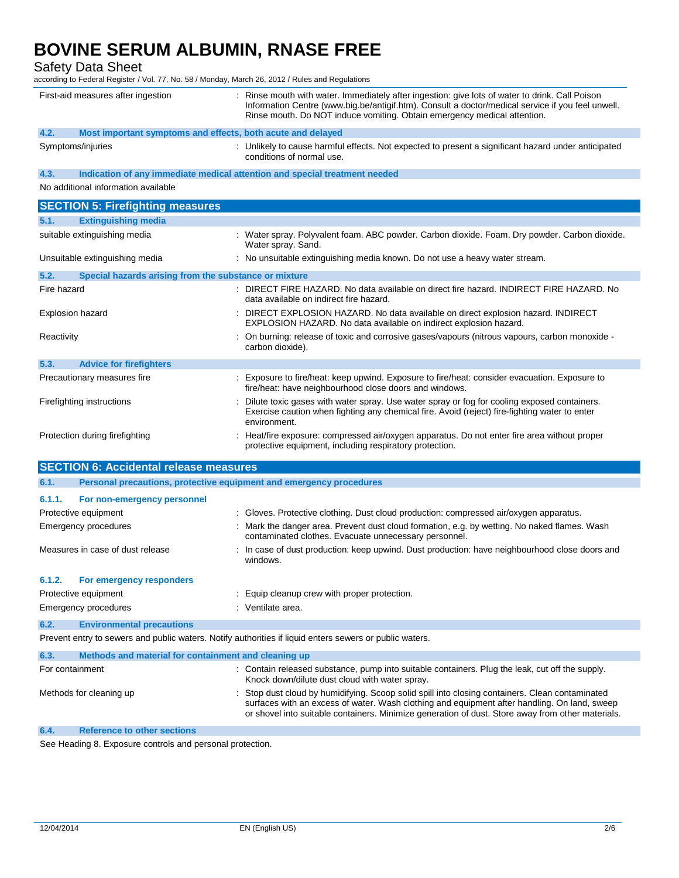Safety Data Sheet

according to Federal Register / Vol. 77, No. 58 / Monday, March 26, 2012 / Rules and Regulations

| First-aid measures after ingestion                                                                      | Rinse mouth with water. Immediately after ingestion: give lots of water to drink. Call Poison<br>Information Centre (www.big.be/antigif.htm). Consult a doctor/medical service if you feel unwell.<br>Rinse mouth. Do NOT induce vomiting. Obtain emergency medical attention.                     |
|---------------------------------------------------------------------------------------------------------|----------------------------------------------------------------------------------------------------------------------------------------------------------------------------------------------------------------------------------------------------------------------------------------------------|
| 4.2.<br>Most important symptoms and effects, both acute and delayed                                     |                                                                                                                                                                                                                                                                                                    |
| Symptoms/injuries                                                                                       | : Unlikely to cause harmful effects. Not expected to present a significant hazard under anticipated<br>conditions of normal use.                                                                                                                                                                   |
| Indication of any immediate medical attention and special treatment needed<br>4.3.                      |                                                                                                                                                                                                                                                                                                    |
| No additional information available                                                                     |                                                                                                                                                                                                                                                                                                    |
| <b>SECTION 5: Firefighting measures</b>                                                                 |                                                                                                                                                                                                                                                                                                    |
| 5.1.<br><b>Extinguishing media</b>                                                                      |                                                                                                                                                                                                                                                                                                    |
| suitable extinguishing media                                                                            | : Water spray. Polyvalent foam. ABC powder. Carbon dioxide. Foam. Dry powder. Carbon dioxide.<br>Water spray. Sand.                                                                                                                                                                                |
| Unsuitable extinguishing media                                                                          | : No unsuitable extinguishing media known. Do not use a heavy water stream.                                                                                                                                                                                                                        |
| 5.2.<br>Special hazards arising from the substance or mixture                                           |                                                                                                                                                                                                                                                                                                    |
| Fire hazard                                                                                             | DIRECT FIRE HAZARD. No data available on direct fire hazard. INDIRECT FIRE HAZARD. No<br>data available on indirect fire hazard.                                                                                                                                                                   |
| <b>Explosion hazard</b>                                                                                 | DIRECT EXPLOSION HAZARD. No data available on direct explosion hazard. INDIRECT<br>EXPLOSION HAZARD. No data available on indirect explosion hazard.                                                                                                                                               |
| Reactivity                                                                                              | On burning: release of toxic and corrosive gases/vapours (nitrous vapours, carbon monoxide -<br>carbon dioxide).                                                                                                                                                                                   |
| 5.3.<br><b>Advice for firefighters</b>                                                                  |                                                                                                                                                                                                                                                                                                    |
| Precautionary measures fire                                                                             | : Exposure to fire/heat: keep upwind. Exposure to fire/heat: consider evacuation. Exposure to<br>fire/heat: have neighbourhood close doors and windows.                                                                                                                                            |
| Firefighting instructions                                                                               | Dilute toxic gases with water spray. Use water spray or fog for cooling exposed containers.<br>Exercise caution when fighting any chemical fire. Avoid (reject) fire-fighting water to enter<br>environment.                                                                                       |
| Protection during firefighting                                                                          | Heat/fire exposure: compressed air/oxygen apparatus. Do not enter fire area without proper<br>protective equipment, including respiratory protection.                                                                                                                                              |
| <b>SECTION 6: Accidental release measures</b>                                                           |                                                                                                                                                                                                                                                                                                    |
| 6.1.<br>Personal precautions, protective equipment and emergency procedures                             |                                                                                                                                                                                                                                                                                                    |
| 6.1.1.<br>For non-emergency personnel                                                                   |                                                                                                                                                                                                                                                                                                    |
| Protective equipment                                                                                    | : Gloves. Protective clothing. Dust cloud production: compressed air/oxygen apparatus.                                                                                                                                                                                                             |
| Emergency procedures                                                                                    | Mark the danger area. Prevent dust cloud formation, e.g. by wetting. No naked flames. Wash<br>contaminated clothes. Evacuate unnecessary personnel.                                                                                                                                                |
| Measures in case of dust release                                                                        | : In case of dust production: keep upwind. Dust production: have neighbourhood close doors and<br>windows.                                                                                                                                                                                         |
| 6.1.2.<br>For emergency responders                                                                      |                                                                                                                                                                                                                                                                                                    |
| Protective equipment                                                                                    | : Equip cleanup crew with proper protection.                                                                                                                                                                                                                                                       |
| <b>Emergency procedures</b>                                                                             | : Ventilate area.                                                                                                                                                                                                                                                                                  |
| 6.2.<br><b>Environmental precautions</b>                                                                |                                                                                                                                                                                                                                                                                                    |
| Prevent entry to sewers and public waters. Notify authorities if liquid enters sewers or public waters. |                                                                                                                                                                                                                                                                                                    |
| 6.3.<br>Methods and material for containment and cleaning up                                            |                                                                                                                                                                                                                                                                                                    |
| For containment                                                                                         | Contain released substance, pump into suitable containers. Plug the leak, cut off the supply.<br>Knock down/dilute dust cloud with water spray.                                                                                                                                                    |
| Methods for cleaning up                                                                                 | Stop dust cloud by humidifying. Scoop solid spill into closing containers. Clean contaminated<br>surfaces with an excess of water. Wash clothing and equipment after handling. On land, sweep<br>or shovel into suitable containers. Minimize generation of dust. Store away from other materials. |
| 6.4.<br><b>Reference to other sections</b>                                                              |                                                                                                                                                                                                                                                                                                    |

See Heading 8. Exposure controls and personal protection.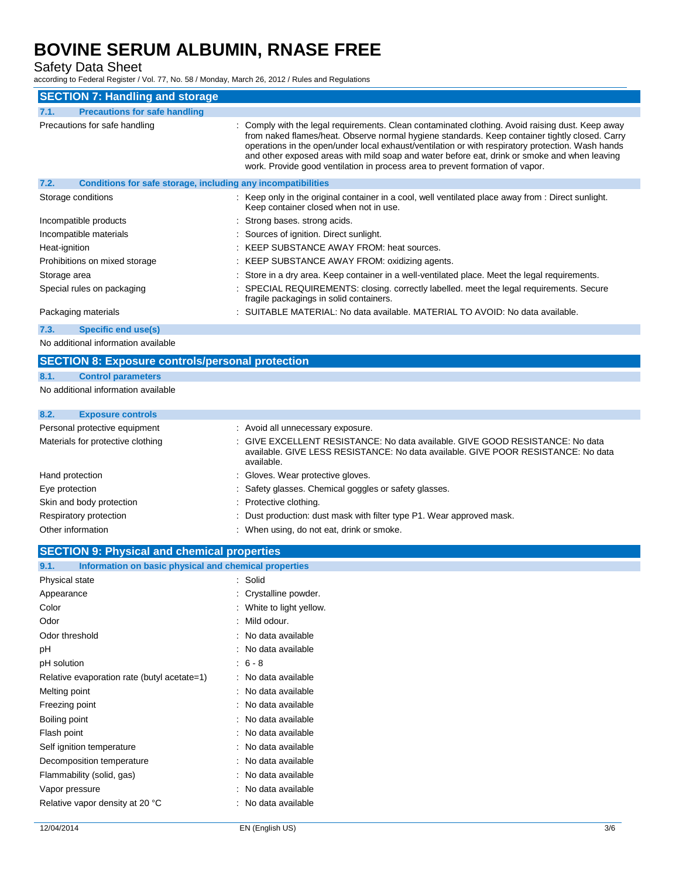Safety Data Sheet

according to Federal Register / Vol. 77, No. 58 / Monday, March 26, 2012 / Rules and Regulations

| <b>SECTION 7: Handling and storage</b>                               |                                                                                                                                                                                                                                                                                                                                                                                                                                                                                          |
|----------------------------------------------------------------------|------------------------------------------------------------------------------------------------------------------------------------------------------------------------------------------------------------------------------------------------------------------------------------------------------------------------------------------------------------------------------------------------------------------------------------------------------------------------------------------|
| <b>Precautions for safe handling</b><br>7.1.                         |                                                                                                                                                                                                                                                                                                                                                                                                                                                                                          |
| Precautions for safe handling                                        | : Comply with the legal requirements. Clean contaminated clothing. Avoid raising dust. Keep away<br>from naked flames/heat. Observe normal hygiene standards. Keep container tightly closed. Carry<br>operations in the open/under local exhaust/ventilation or with respiratory protection. Wash hands<br>and other exposed areas with mild soap and water before eat, drink or smoke and when leaving<br>work. Provide good ventilation in process area to prevent formation of vapor. |
| 7.2.<br>Conditions for safe storage, including any incompatibilities |                                                                                                                                                                                                                                                                                                                                                                                                                                                                                          |
| Storage conditions                                                   | : Keep only in the original container in a cool, well ventilated place away from : Direct sunlight.<br>Keep container closed when not in use.                                                                                                                                                                                                                                                                                                                                            |
| Incompatible products                                                | : Strong bases. strong acids.                                                                                                                                                                                                                                                                                                                                                                                                                                                            |
| Incompatible materials                                               | : Sources of ignition. Direct sunlight.                                                                                                                                                                                                                                                                                                                                                                                                                                                  |
| Heat-ignition                                                        | : KEEP SUBSTANCE AWAY FROM: heat sources.                                                                                                                                                                                                                                                                                                                                                                                                                                                |
| Prohibitions on mixed storage                                        | : KEEP SUBSTANCE AWAY FROM: oxidizing agents.                                                                                                                                                                                                                                                                                                                                                                                                                                            |
| Storage area                                                         | : Store in a dry area. Keep container in a well-ventilated place. Meet the legal requirements.                                                                                                                                                                                                                                                                                                                                                                                           |
| Special rules on packaging                                           | : SPECIAL REQUIREMENTS: closing. correctly labelled. meet the legal requirements. Secure<br>fragile packagings in solid containers.                                                                                                                                                                                                                                                                                                                                                      |
| Packaging materials                                                  | : SUITABLE MATERIAL: No data available. MATERIAL TO AVOID: No data available.                                                                                                                                                                                                                                                                                                                                                                                                            |
| Specific end use(s)<br>7.3.                                          |                                                                                                                                                                                                                                                                                                                                                                                                                                                                                          |

No additional information available

#### **SECTION 8: Exposure controls/personal protection**

#### **8.1. Control parameters**

No additional information available

### **8.2. Exposure controls**

| Personal protective equipment     | : Avoid all unnecessary exposure.                                                                                                                                                |
|-----------------------------------|----------------------------------------------------------------------------------------------------------------------------------------------------------------------------------|
| Materials for protective clothing | : GIVE EXCELLENT RESISTANCE: No data available, GIVE GOOD RESISTANCE: No data<br>available. GIVE LESS RESISTANCE: No data available. GIVE POOR RESISTANCE: No data<br>available. |
| Hand protection                   | : Gloves. Wear protective gloves.                                                                                                                                                |
| Eye protection                    | : Safety glasses. Chemical goggles or safety glasses.                                                                                                                            |
| Skin and body protection          | : Protective clothing.                                                                                                                                                           |
| Respiratory protection            | : Dust production: dust mask with filter type P1. Wear approved mask.                                                                                                            |
| Other information                 | When using, do not eat, drink or smoke.                                                                                                                                          |

### **SECTION 9: Physical and chemical properties**

| 9.1.           | Information on basic physical and chemical properties |                        |
|----------------|-------------------------------------------------------|------------------------|
| Physical state |                                                       | Solid                  |
| Appearance     |                                                       | Crystalline powder.    |
| Color          |                                                       | White to light yellow. |
| Odor           |                                                       | Mild odour.            |
| Odor threshold |                                                       | No data available      |
| рH             |                                                       | No data available      |
| pH solution    |                                                       | $6 - 8$                |
|                | Relative evaporation rate (butyl acetate=1)           | No data available      |
| Melting point  |                                                       | No data available      |
| Freezing point |                                                       | No data available      |
| Boiling point  |                                                       | No data available      |
| Flash point    |                                                       | No data available      |
|                | Self ignition temperature                             | No data available      |
|                | Decomposition temperature                             | No data available      |
|                | Flammability (solid, gas)                             | No data available      |
| Vapor pressure |                                                       | No data available      |
|                | Relative vapor density at 20 °C                       | No data available      |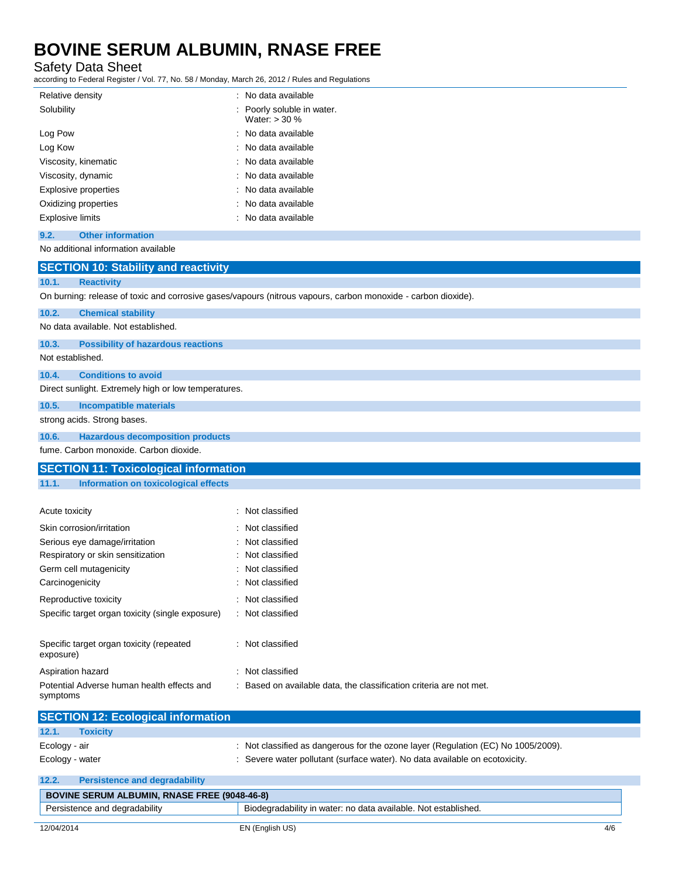Safety Data Sheet

according to Federal Register / Vol. 77, No. 58 / Monday, March 26, 2012 / Rules and Regulations

| Relative density                 | : No data available                           |
|----------------------------------|-----------------------------------------------|
| Solubility                       | : Poorly soluble in water.<br>Water: $>$ 30 % |
| Log Pow                          | : No data available                           |
| Log Kow                          | : No data available                           |
| Viscosity, kinematic             | : No data available                           |
| Viscosity, dynamic               | : No data available                           |
| Explosive properties             | : No data available                           |
| Oxidizing properties             | : No data available                           |
| <b>Explosive limits</b>          | : No data available                           |
| 9.2.<br><b>Other information</b> |                                               |

#### No additional information available

| <b>SECTION 10: Stability and reactivity</b>                                                                   |                                                                     |  |  |
|---------------------------------------------------------------------------------------------------------------|---------------------------------------------------------------------|--|--|
| <b>Reactivity</b><br>10.1.                                                                                    |                                                                     |  |  |
| On burning: release of toxic and corrosive gases/vapours (nitrous vapours, carbon monoxide - carbon dioxide). |                                                                     |  |  |
| 10.2.<br><b>Chemical stability</b>                                                                            |                                                                     |  |  |
| No data available. Not established.                                                                           |                                                                     |  |  |
| 10.3.<br><b>Possibility of hazardous reactions</b>                                                            |                                                                     |  |  |
| Not established.                                                                                              |                                                                     |  |  |
| <b>Conditions to avoid</b><br>10.4.                                                                           |                                                                     |  |  |
| Direct sunlight. Extremely high or low temperatures.                                                          |                                                                     |  |  |
| 10.5.<br><b>Incompatible materials</b>                                                                        |                                                                     |  |  |
| strong acids. Strong bases.                                                                                   |                                                                     |  |  |
| 10.6.<br><b>Hazardous decomposition products</b>                                                              |                                                                     |  |  |
| fume. Carbon monoxide. Carbon dioxide.                                                                        |                                                                     |  |  |
| <b>SECTION 11: Toxicological information</b>                                                                  |                                                                     |  |  |
| 11.1.<br><b>Information on toxicological effects</b>                                                          |                                                                     |  |  |
|                                                                                                               |                                                                     |  |  |
| Acute toxicity                                                                                                | : Not classified                                                    |  |  |
| Skin corrosion/irritation                                                                                     | : Not classified                                                    |  |  |
| Serious eye damage/irritation                                                                                 | Not classified                                                      |  |  |
| Respiratory or skin sensitization                                                                             | Not classified                                                      |  |  |
| Germ cell mutagenicity                                                                                        | Not classified                                                      |  |  |
| Carcinogenicity                                                                                               | : Not classified                                                    |  |  |
| Reproductive toxicity                                                                                         | : Not classified                                                    |  |  |
| Specific target organ toxicity (single exposure)                                                              | : Not classified                                                    |  |  |
| Specific target organ toxicity (repeated                                                                      | : Not classified                                                    |  |  |
| exposure)                                                                                                     |                                                                     |  |  |
| Aspiration hazard                                                                                             | : Not classified                                                    |  |  |
| Potential Adverse human health effects and<br>symptoms                                                        | : Based on available data, the classification criteria are not met. |  |  |
| <b>SECTION 12: Ecological information</b>                                                                     |                                                                     |  |  |
| 12.1.<br><b>Toxicity</b>                                                                                      |                                                                     |  |  |

| $\mathbf{L}$ .  | TUAIGHT                              |                                                                                 |
|-----------------|--------------------------------------|---------------------------------------------------------------------------------|
| Ecology - air   |                                      | Not classified as dangerous for the ozone layer (Regulation (EC) No 1005/2009). |
| Ecology - water |                                      | : Severe water pollutant (surface water). No data available on ecotoxicity.     |
| 12.2.           | <b>Persistence and degradability</b> |                                                                                 |

| 12.2.      | <b>Persistence and degradability</b>                |                                                                |     |
|------------|-----------------------------------------------------|----------------------------------------------------------------|-----|
|            | <b>BOVINE SERUM ALBUMIN, RNASE FREE (9048-46-8)</b> |                                                                |     |
|            | Persistence and degradability                       | Biodegradability in water: no data available. Not established. |     |
| 12/04/2014 |                                                     | EN (English US)                                                | 4/6 |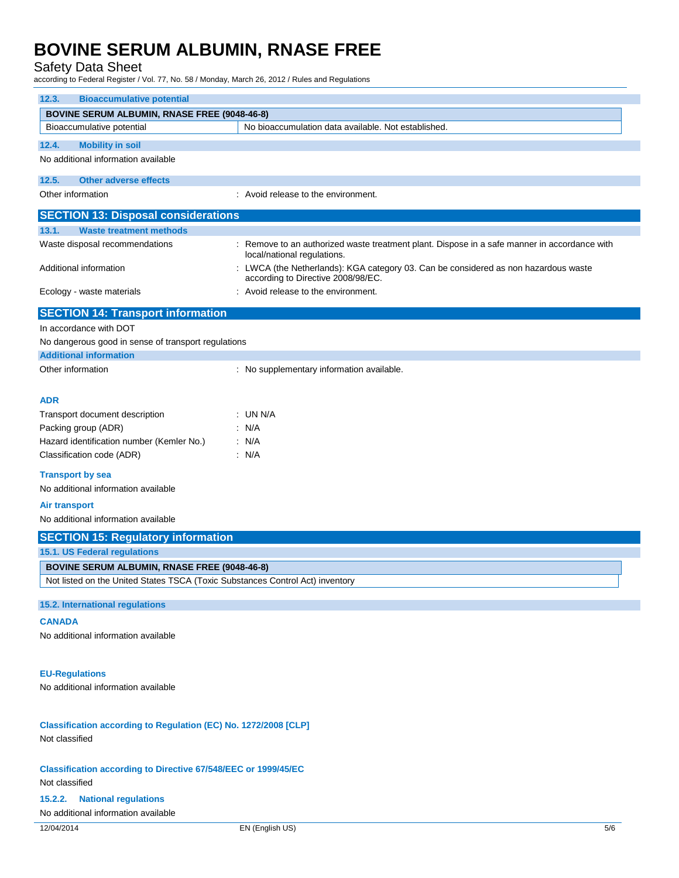#### Safety Data Sheet

according to Federal Register / Vol. 77, No. 58 / Monday, March 26, 2012 / Rules and Regulations

| <b>Bioaccumulative potential</b><br>12.3.                                                                                            |                                                                                                                           |  |
|--------------------------------------------------------------------------------------------------------------------------------------|---------------------------------------------------------------------------------------------------------------------------|--|
| <b>BOVINE SERUM ALBUMIN, RNASE FREE (9048-46-8)</b>                                                                                  |                                                                                                                           |  |
| Bioaccumulative potential                                                                                                            | No bioaccumulation data available. Not established.                                                                       |  |
| 12.4.<br><b>Mobility in soil</b>                                                                                                     |                                                                                                                           |  |
| No additional information available                                                                                                  |                                                                                                                           |  |
|                                                                                                                                      |                                                                                                                           |  |
| <b>Other adverse effects</b><br>12.5.                                                                                                |                                                                                                                           |  |
| Other information                                                                                                                    | : Avoid release to the environment.                                                                                       |  |
| <b>SECTION 13: Disposal considerations</b>                                                                                           |                                                                                                                           |  |
| <b>Waste treatment methods</b><br>13.1.                                                                                              |                                                                                                                           |  |
| Waste disposal recommendations                                                                                                       | : Remove to an authorized waste treatment plant. Dispose in a safe manner in accordance with                              |  |
|                                                                                                                                      | local/national regulations.                                                                                               |  |
| Additional information                                                                                                               | : LWCA (the Netherlands): KGA category 03. Can be considered as non hazardous waste<br>according to Directive 2008/98/EC. |  |
| Ecology - waste materials                                                                                                            | : Avoid release to the environment.                                                                                       |  |
| <b>SECTION 14: Transport information</b>                                                                                             |                                                                                                                           |  |
| In accordance with DOT                                                                                                               |                                                                                                                           |  |
| No dangerous good in sense of transport regulations                                                                                  |                                                                                                                           |  |
| <b>Additional information</b>                                                                                                        |                                                                                                                           |  |
| Other information                                                                                                                    | : No supplementary information available.                                                                                 |  |
|                                                                                                                                      |                                                                                                                           |  |
| ADR                                                                                                                                  |                                                                                                                           |  |
| Transport document description                                                                                                       | : UN N/A                                                                                                                  |  |
| Packing group (ADR)                                                                                                                  | : N/A                                                                                                                     |  |
| Hazard identification number (Kemler No.)                                                                                            | : N/A                                                                                                                     |  |
| Classification code (ADR)                                                                                                            | : N/A                                                                                                                     |  |
|                                                                                                                                      |                                                                                                                           |  |
| <b>Transport by sea</b>                                                                                                              |                                                                                                                           |  |
| No additional information available                                                                                                  |                                                                                                                           |  |
| <b>Air transport</b>                                                                                                                 |                                                                                                                           |  |
| No additional information available                                                                                                  |                                                                                                                           |  |
| <b>SECTION 15: Regulatory information</b>                                                                                            |                                                                                                                           |  |
| 15.1. US Federal regulations                                                                                                         |                                                                                                                           |  |
|                                                                                                                                      |                                                                                                                           |  |
| <b>BOVINE SERUM ALBUMIN, RNASE FREE (9048-46-8)</b><br>Not listed on the United States TSCA (Toxic Substances Control Act) inventory |                                                                                                                           |  |
|                                                                                                                                      |                                                                                                                           |  |
| 15.2. International regulations                                                                                                      |                                                                                                                           |  |
| <b>CANADA</b>                                                                                                                        |                                                                                                                           |  |
| No additional information available                                                                                                  |                                                                                                                           |  |
|                                                                                                                                      |                                                                                                                           |  |
|                                                                                                                                      |                                                                                                                           |  |
| <b>EU-Regulations</b>                                                                                                                |                                                                                                                           |  |
| No additional information available                                                                                                  |                                                                                                                           |  |
|                                                                                                                                      |                                                                                                                           |  |
|                                                                                                                                      |                                                                                                                           |  |
| Classification according to Regulation (EC) No. 1272/2008 [CLP]                                                                      |                                                                                                                           |  |
| Not classified                                                                                                                       |                                                                                                                           |  |
|                                                                                                                                      |                                                                                                                           |  |
| <b>Classification according to Directive 67/548/EEC or 1999/45/EC</b>                                                                |                                                                                                                           |  |
| Not classified                                                                                                                       |                                                                                                                           |  |
| <b>National regulations</b><br>15.2.2.                                                                                               |                                                                                                                           |  |
| No additional information available                                                                                                  |                                                                                                                           |  |
| 12/04/2014                                                                                                                           | EN (English US)<br>5/6                                                                                                    |  |
|                                                                                                                                      |                                                                                                                           |  |